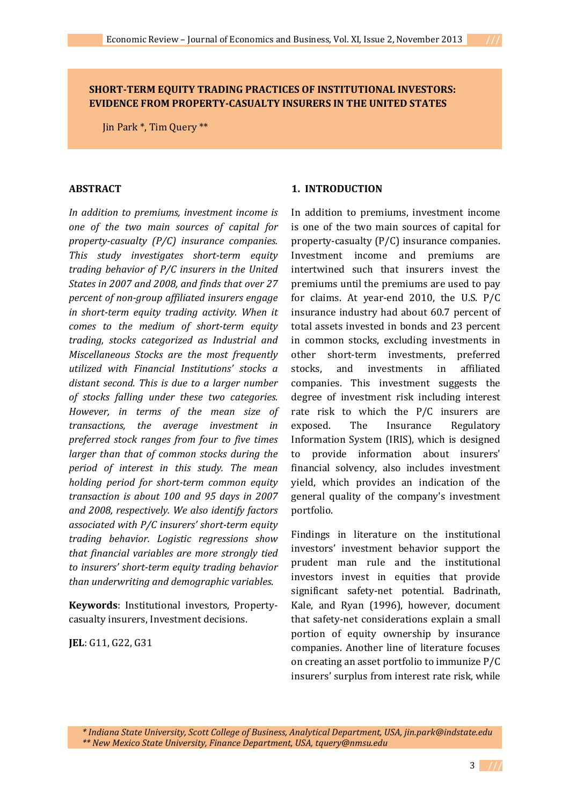# **SHORT-TERM EQUITY TRADING PRACTICES OF INSTITUTIONAL INVESTORS: EVIDENCE FROM PROPERTY-CASUALTY INSURERS IN THE UNITED STATES**

Jin Park \*, Tim Query \*\*

### **ABSTRACT**

*In addition to premiums, investment income is one of the two main sources of capital for property-casualty (P/C) insurance companies. This study investigates short-term equity trading behavior of P/C insurers in the United States in 2007 and 2008, and finds that over 27 percent of non-group affiliated insurers engage in short-term equity trading activity. When it comes to the medium of short-term equity trading, stocks categorized as Industrial and Miscellaneous Stocks are the most frequently utilized with Financial Institutions' stocks a distant second. This is due to a larger number of stocks falling under these two categories. However, in terms of the mean size of transactions, the average investment in preferred stock ranges from four to five times larger than that of common stocks during the period of interest in this study. The mean holding period for short-term common equity transaction is about 100 and 95 days in 2007 and 2008, respectively. We also identify factors associated with P/C insurers' short-term equity trading behavior. Logistic regressions show that financial variables are more strongly tied to insurers' short-term equity trading behavior than underwriting and demographic variables*.

**Keywords**: Institutional investors, Propertycasualty insurers, Investment decisions.

**JEL**: G11, G22, G31

### **1. INTRODUCTION**

In addition to premiums, investment income is one of the two main sources of capital for property-casualty (P/C) insurance companies. Investment income and premiums are intertwined such that insurers invest the premiums until the premiums are used to pay for claims. At year-end 2010, the U.S. P/C insurance industry had about 60.7 percent of total assets invested in bonds and 23 percent in common stocks, excluding investments in other short-term investments, preferred stocks, and investments in affiliated companies. This investment suggests the degree of investment risk including interest rate risk to which the P/C insurers are exposed. The Insurance Regulatory Information System (IRIS), which is designed to provide information about insurers' financial solvency, also includes investment yield, which provides an indication of the general quality of the company's investment portfolio.

Findings in literature on the institutional investors' investment behavior support the prudent man rule and the institutional investors invest in equities that provide significant safety-net potential. Badrinath, Kale, and Ryan (1996), however, document that safety-net considerations explain a small portion of equity ownership by insurance companies. Another line of literature focuses on creating an asset portfolio to immunize P/C insurers' surplus from interest rate risk, while

 *\* Indiana State University, Scott College of Business, Analytical Department, USA, jin.park@indstate.edu \*\* New Mexico State University, Finance Department, USA, tquery@nmsu.edu* 

3 **///**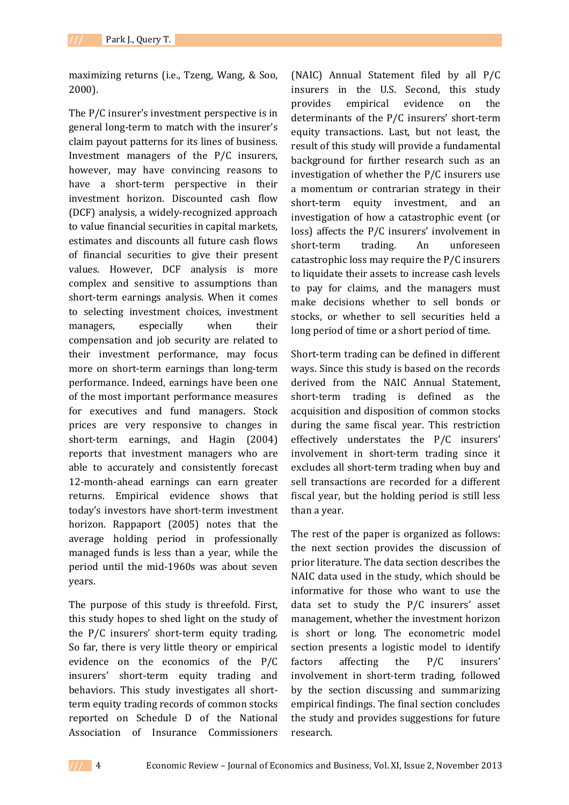maximizing returns (i.e., Tzeng, Wang, & Soo, 2000).

The P/C insurer's investment perspective is in general long-term to match with the insurer's claim payout patterns for its lines of business. Investment managers of the P/C insurers, however, may have convincing reasons to have a short-term perspective in their investment horizon. Discounted cash flow (DCF) analysis, a widely-recognized approach to value financial securities in capital markets, estimates and discounts all future cash flows of financial securities to give their present values. However, DCF analysis is more complex and sensitive to assumptions than short-term earnings analysis. When it comes to selecting investment choices, investment managers, especially when their compensation and job security are related to their investment performance, may focus more on short-term earnings than long-term performance. Indeed, earnings have been one of the most important performance measures for executives and fund managers. Stock prices are very responsive to changes in short-term earnings, and Hagin (2004) reports that investment managers who are able to accurately and consistently forecast 12-month-ahead earnings can earn greater returns. Empirical evidence shows that today's investors have short-term investment horizon. Rappaport (2005) notes that the average holding period in professionally managed funds is less than a year, while the period until the mid-1960s was about seven years.

The purpose of this study is threefold. First, this study hopes to shed light on the study of the P/C insurers' short-term equity trading. So far, there is very little theory or empirical evidence on the economics of the P/C insurers' short-term equity trading and behaviors. This study investigates all shortterm equity trading records of common stocks reported on Schedule D of the National Association of Insurance Commissioners

(NAIC) Annual Statement filed by all P/C insurers in the U.S. Second, this study provides empirical evidence on the determinants of the P/C insurers' short-term equity transactions. Last, but not least, the result of this study will provide a fundamental background for further research such as an investigation of whether the P/C insurers use a momentum or contrarian strategy in their short-term equity investment, and an investigation of how a catastrophic event (or loss) affects the P/C insurers' involvement in short-term trading. An unforeseen catastrophic loss may require the P/C insurers to liquidate their assets to increase cash levels to pay for claims, and the managers must make decisions whether to sell bonds or stocks, or whether to sell securities held a long period of time or a short period of time.

Short-term trading can be defined in different ways. Since this study is based on the records derived from the NAIC Annual Statement, short-term trading is defined as the acquisition and disposition of common stocks during the same fiscal year. This restriction effectively understates the P/C insurers' involvement in short-term trading since it excludes all short-term trading when buy and sell transactions are recorded for a different fiscal year, but the holding period is still less than a year.

The rest of the paper is organized as follows: the next section provides the discussion of prior literature. The data section describes the NAIC data used in the study, which should be informative for those who want to use the data set to study the P/C insurers' asset management, whether the investment horizon is short or long. The econometric model section presents a logistic model to identify factors affecting the P/C insurers' involvement in short-term trading, followed by the section discussing and summarizing empirical findings. The final section concludes the study and provides suggestions for future research.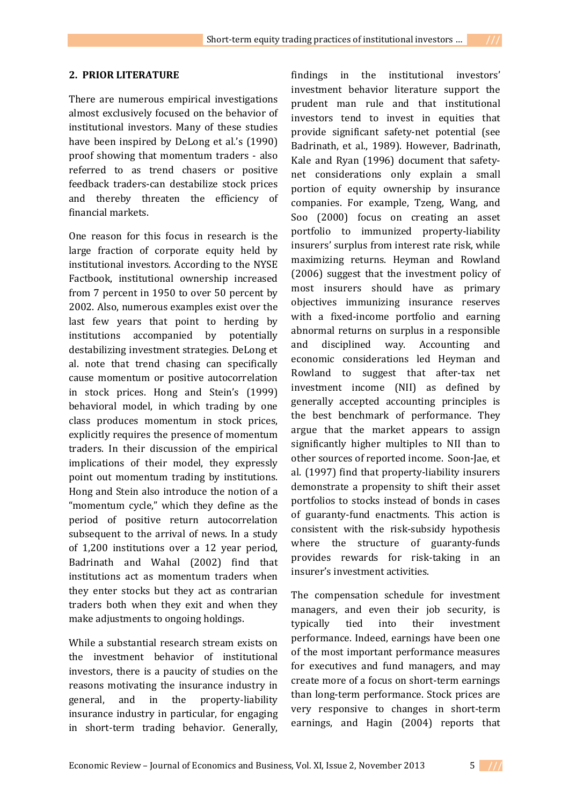### **2. PRIOR LITERATURE**

There are numerous empirical investigations almost exclusively focused on the behavior of institutional investors. Many of these studies have been inspired by DeLong et al.'s (1990) proof showing that momentum traders - also referred to as trend chasers or positive feedback traders-can destabilize stock prices and thereby threaten the efficiency of financial markets.

One reason for this focus in research is the large fraction of corporate equity held by institutional investors. According to the NYSE Factbook, institutional ownership increased from 7 percent in 1950 to over 50 percent by 2002. Also, numerous examples exist over the last few years that point to herding by institutions accompanied by potentially destabilizing investment strategies. DeLong et al. note that trend chasing can specifically cause momentum or positive autocorrelation in stock prices. Hong and Stein's (1999) behavioral model, in which trading by one class produces momentum in stock prices, explicitly requires the presence of momentum traders. In their discussion of the empirical implications of their model, they expressly point out momentum trading by institutions. Hong and Stein also introduce the notion of a "momentum cycle," which they define as the period of positive return autocorrelation subsequent to the arrival of news. In a study of 1,200 institutions over a 12 year period, Badrinath and Wahal (2002) find that institutions act as momentum traders when they enter stocks but they act as contrarian traders both when they exit and when they make adjustments to ongoing holdings.

While a substantial research stream exists on the investment behavior of institutional investors, there is a paucity of studies on the reasons motivating the insurance industry in general, and in the property-liability insurance industry in particular, for engaging in short-term trading behavior. Generally,

findings in the institutional investors' investment behavior literature support the prudent man rule and that institutional investors tend to invest in equities that provide significant safety-net potential (see Badrinath, et al., 1989). However, Badrinath, Kale and Ryan (1996) document that safetynet considerations only explain a small portion of equity ownership by insurance companies. For example, Tzeng, Wang, and Soo (2000) focus on creating an asset portfolio to immunized property-liability insurers' surplus from interest rate risk, while maximizing returns. Heyman and Rowland (2006) suggest that the investment policy of most insurers should have as primary objectives immunizing insurance reserves with a fixed-income portfolio and earning abnormal returns on surplus in a responsible and disciplined way. Accounting and economic considerations led Heyman and Rowland to suggest that after-tax net investment income (NII) as defined by generally accepted accounting principles is the best benchmark of performance. They argue that the market appears to assign significantly higher multiples to NII than to other sources of reported income. Soon-Jae, et al. (1997) find that property-liability insurers demonstrate a propensity to shift their asset portfolios to stocks instead of bonds in cases of guaranty-fund enactments. This action is consistent with the risk-subsidy hypothesis where the structure of guaranty-funds provides rewards for risk-taking in an insurer's investment activities.

The compensation schedule for investment managers, and even their job security, is typically tied into their investment performance. Indeed, earnings have been one of the most important performance measures for executives and fund managers, and may create more of a focus on short-term earnings than long-term performance. Stock prices are very responsive to changes in short-term earnings, and Hagin (2004) reports that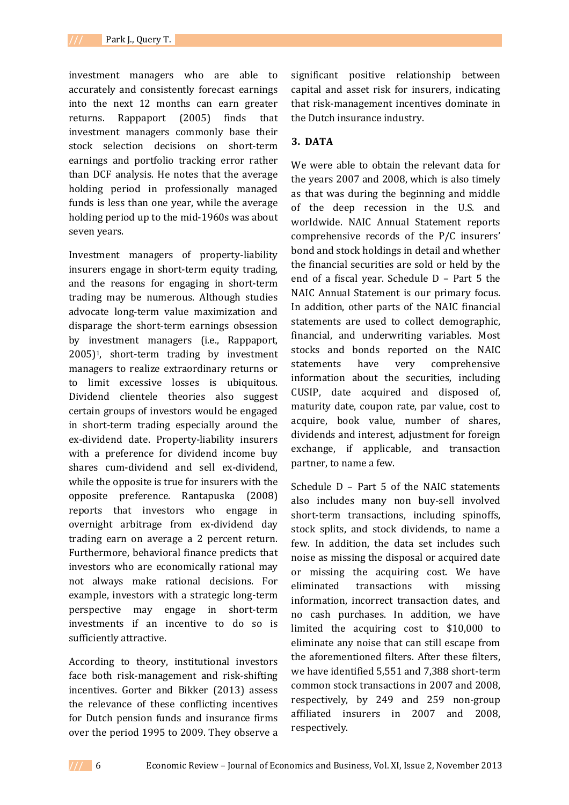investment managers who are able to accurately and consistently forecast earnings into the next 12 months can earn greater returns. Rappaport (2005) finds that investment managers commonly base their stock selection decisions on short-term earnings and portfolio tracking error rather than DCF analysis. He notes that the average holding period in professionally managed funds is less than one year, while the average holding period up to the mid-1960s was about seven years.

Investment managers of property-liability insurers engage in short-term equity trading, and the reasons for engaging in short-term trading may be numerous. Although studies advocate long-term value maximization and disparage the short-term earnings obsession by investment managers (i.e., Rappaport, 2005)1, short-term trading by investment managers to realize extraordinary returns or to limit excessive losses is ubiquitous. Dividend clientele theories also suggest certain groups of investors would be engaged in short-term trading especially around the ex-dividend date. Property-liability insurers with a preference for dividend income buy shares cum-dividend and sell ex-dividend, while the opposite is true for insurers with the opposite preference. Rantapuska (2008) reports that investors who engage in overnight arbitrage from ex-dividend day trading earn on average a 2 percent return. Furthermore, behavioral finance predicts that investors who are economically rational may not always make rational decisions. For example, investors with a strategic long-term perspective may engage in short-term investments if an incentive to do so is sufficiently attractive.

According to theory, institutional investors face both risk-management and risk-shifting incentives. Gorter and Bikker (2013) assess the relevance of these conflicting incentives for Dutch pension funds and insurance firms over the period 1995 to 2009. They observe a

significant positive relationship between capital and asset risk for insurers, indicating that risk-management incentives dominate in the Dutch insurance industry.

## **3. DATA**

We were able to obtain the relevant data for the years 2007 and 2008, which is also timely as that was during the beginning and middle of the deep recession in the U.S. and worldwide. NAIC Annual Statement reports comprehensive records of the P/C insurers' bond and stock holdings in detail and whether the financial securities are sold or held by the end of a fiscal year. Schedule D – Part 5 the NAIC Annual Statement is our primary focus. In addition, other parts of the NAIC financial statements are used to collect demographic, financial, and underwriting variables. Most stocks and bonds reported on the NAIC statements have very comprehensive information about the securities, including CUSIP, date acquired and disposed of, maturity date, coupon rate, par value, cost to acquire, book value, number of shares, dividends and interest, adjustment for foreign exchange, if applicable, and transaction partner, to name a few.

Schedule D – Part 5 of the NAIC statements also includes many non buy-sell involved short-term transactions, including spinoffs, stock splits, and stock dividends, to name a few. In addition, the data set includes such noise as missing the disposal or acquired date or missing the acquiring cost. We have eliminated transactions with missing information, incorrect transaction dates, and no cash purchases. In addition, we have limited the acquiring cost to \$10,000 to eliminate any noise that can still escape from the aforementioned filters. After these filters, we have identified 5,551 and 7,388 short-term common stock transactions in 2007 and 2008, respectively, by 249 and 259 non-group affiliated insurers in 2007 and 2008, respectively.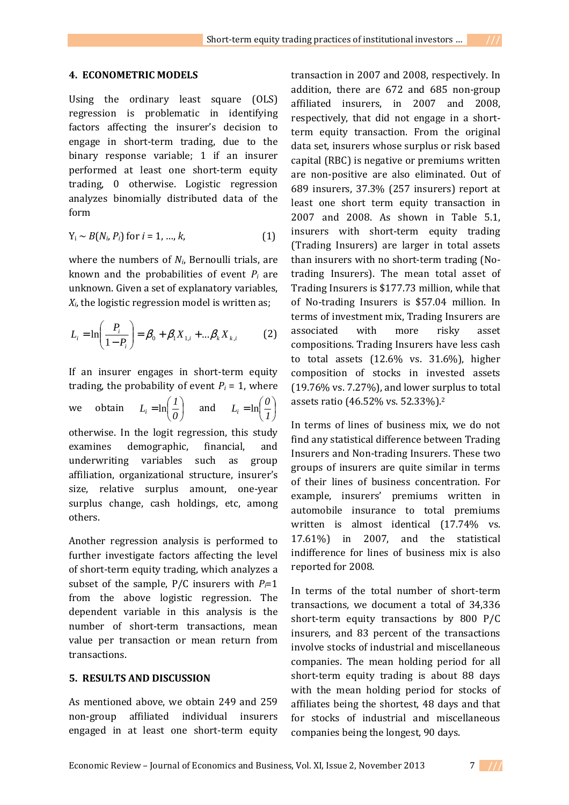#### **4. ECONOMETRIC MODELS**

Using the ordinary least square (OLS) regression is problematic in identifying factors affecting the insurer's decision to engage in short-term trading, due to the binary response variable; 1 if an insurer performed at least one short-term equity trading, 0 otherwise. Logistic regression analyzes binomially distributed data of the form

$$
Y_i \sim B(N_i, P_i) \text{ for } i = 1, ..., k,
$$
 (1)

where the numbers of *Ni*, Bernoulli trials, are known and the probabilities of event  $P_i$  are unknown. Given a set of explanatory variables, *Xi*, the logistic regression model is written as;

$$
L_i = \ln\left(\frac{P_i}{1 - P_i}\right) = \beta_0 + \beta_1 X_{1,i} + ... \beta_k X_{k,i}
$$
 (2)

If an insurer engages in short-term equity trading, the probability of event  $P_i = 1$ , where we obtain  $L_i = \ln \left| \frac{1}{e} \right|$ J  $\left(\frac{1}{2}\right)$ l  $=\ln$ *0*  $L_i = \ln\left(\frac{l}{\rho}\right)$  and  $L_i = \ln\left(\frac{\theta}{l}\right)$ J  $\left(\frac{\rho}{\tau}\right)$ l  $=\ln$ *1*  $L_i = \ln\left(\frac{0}{i}\right)$ otherwise. In the logit regression, this study examines demographic, financial, and underwriting variables such as group affiliation, organizational structure, insurer's size, relative surplus amount, one-year surplus change, cash holdings, etc, among others.

Another regression analysis is performed to further investigate factors affecting the level of short-term equity trading, which analyzes a subset of the sample,  $P/C$  insurers with  $P_i=1$ from the above logistic regression. The dependent variable in this analysis is the number of short-term transactions, mean value per transaction or mean return from transactions.

### **5. RESULTS AND DISCUSSION**

As mentioned above, we obtain 249 and 259 non-group affiliated individual insurers engaged in at least one short-term equity

transaction in 2007 and 2008, respectively. In addition, there are 672 and 685 non-group affiliated insurers, in 2007 and 2008, respectively, that did not engage in a shortterm equity transaction. From the original data set, insurers whose surplus or risk based capital (RBC) is negative or premiums written are non-positive are also eliminated. Out of 689 insurers, 37.3% (257 insurers) report at least one short term equity transaction in 2007 and 2008. As shown in Table 5.1, insurers with short-term equity trading (Trading Insurers) are larger in total assets than insurers with no short-term trading (Notrading Insurers). The mean total asset of Trading Insurers is \$177.73 million, while that of No-trading Insurers is \$57.04 million. In terms of investment mix, Trading Insurers are associated with more risky asset compositions. Trading Insurers have less cash to total assets (12.6% vs. 31.6%), higher composition of stocks in invested assets (19.76% vs. 7.27%), and lower surplus to total assets ratio (46.52% vs. 52.33%).<sup>2</sup>

In terms of lines of business mix, we do not find any statistical difference between Trading Insurers and Non-trading Insurers. These two groups of insurers are quite similar in terms of their lines of business concentration. For example, insurers' premiums written in automobile insurance to total premiums written is almost identical (17.74% vs. 17.61%) in 2007, and the statistical indifference for lines of business mix is also reported for 2008.

In terms of the total number of short-term transactions, we document a total of 34,336 short-term equity transactions by 800 P/C insurers, and 83 percent of the transactions involve stocks of industrial and miscellaneous companies. The mean holding period for all short-term equity trading is about 88 days with the mean holding period for stocks of affiliates being the shortest, 48 days and that for stocks of industrial and miscellaneous companies being the longest, 90 days.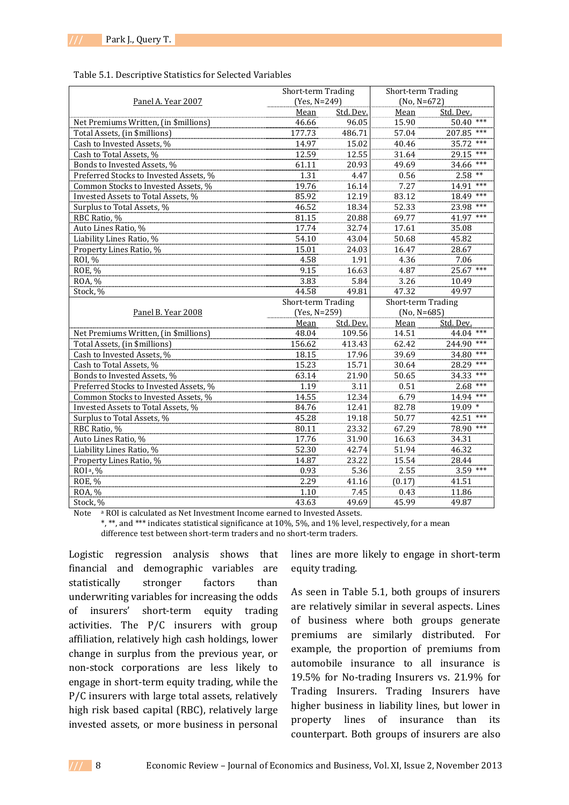#### Table 5.1. Descriptive Statistics for Selected Variables

|                                        | Short-term Trading |           | Short-term Trading |               |  |
|----------------------------------------|--------------------|-----------|--------------------|---------------|--|
| Panel A. Year 2007                     | (Yes, N=249)       |           | $(No, N=672)$      |               |  |
|                                        | Mean               | Std. Dev. | Mean               | Std. Dev.     |  |
| Net Premiums Written, (in \$millions)  | 46.66              | 96.05     | 15.90              | $50.40$ ***   |  |
| Total Assets, (in \$millions)          | 177.73             | 486.71    | 57.04              | 207.85<br>*** |  |
| Cash to Invested Assets, %             | 14.97              | 15.02     | 40.46              | 35.72 ***     |  |
| Cash to Total Assets, %                | 12.59              | 12.55     | 31.64              | 29.15<br>***  |  |
| Bonds to Invested Assets, %            | 61.11              | 20.93     | 49.69              | 34.66         |  |
| Preferred Stocks to Invested Assets, % | 1.31               | 4.47      | 0.56               | $2.58$ **     |  |
| Common Stocks to Invested Assets, %    | 19.76              | 16.14     | 7.27               | 14.91 ***     |  |
| Invested Assets to Total Assets. %     | 85.92              | 12.19     | 83.12              | 18.49 ***     |  |
| Surplus to Total Assets, %             | 46.52              | 18.34     | 52.33              | 23.98 ***     |  |
| RBC Ratio, %                           | 81.15              | 20.88     | 69.77              | 41.97 ***     |  |
| Auto Lines Ratio, %                    | 17.74              | 32.74     | 17.61              | 35.08         |  |
| Liability Lines Ratio, %               | 54.10              | 43.04     | 50.68              | 45.82         |  |
| Property Lines Ratio, %                | 15.01              | 24.03     | 16.47              | 28.67         |  |
| ROI, %                                 | 4.58               | 1.91      | 4.36               | 7.06          |  |
| <b>ROE, %</b>                          | 9.15               | 16.63     | 4.87               | 25.67 ***     |  |
| ROA, %                                 | 3.83               | 5.84      | 3.26               | 10.49         |  |
| Stock, %                               | 44.58              | 49.81     | 47.32              | 49.97         |  |
|                                        | Short-term Trading |           | Short-term Trading |               |  |
| Panel B. Year 2008                     | (Yes, N=259)       |           | $(No, N=685)$      |               |  |
|                                        | Mean               | Std. Dev. | Mean               | Std. Dev.     |  |
| Net Premiums Written, (in \$millions)  | 48.04              | 109.56    | 14.51              | 44.04 ***     |  |
| Total Assets, (in \$millions)          | 156.62             | 413.43    | 62.42              | 244.90 ***    |  |
| Cash to Invested Assets, %             | 18.15              |           |                    |               |  |
|                                        |                    | 17.96     | 39.69              | $34.80***$    |  |
| Cash to Total Assets. %                | 15.23              | 15.71     | 30.64              | 28.29 ***     |  |
| Bonds to Invested Assets, %            | 63.14              | 21.90     | 50.65              | 34.33<br>***  |  |
| Preferred Stocks to Invested Assets, % | 1.19               | 3.11      | 0.51               | $2.68$ ***    |  |
| Common Stocks to Invested Assets, %    | 14.55              | 12.34     | 6.79               | 14.94 ***     |  |
| Invested Assets to Total Assets, %     | 84.76              | 12.41     | 82.78              | 19.09 *       |  |
| Surplus to Total Assets, %             | 45.28              | 19.18     | 50.77              | $42.51$ ***   |  |
| RBC Ratio, %                           | 80.11              | 23.32     | 67.29              | 78.90 ***     |  |
| Auto Lines Ratio, %                    | 17.76              | 31.90     | 16.63              | 34.31         |  |
| Liability Lines Ratio, %               | 52.30              | 42.74     | 51.94              | 46.32         |  |
| Property Lines Ratio, %                | 14.87              | 23.22     | 15.54              | 28.44         |  |
| ROI <sup>a</sup> , %                   | 0.93               | 5.36      | 2.55               | $3.59$ ***    |  |
| <b>ROE, %</b>                          | 2.29               | 41.16     | (0.17)             | 41.51         |  |
| ROA, %                                 | 1.10               | 7.45      | 0.43               | 11.86         |  |

Note a ROI is calculated as Net Investment Income earned to Invested Assets.

 \*, \*\*, and \*\*\* indicates statistical significance at 10%, 5%, and 1% level, respectively, for a mean difference test between short-term traders and no short-term traders.

Logistic regression analysis shows that financial and demographic variables are statistically stronger factors than underwriting variables for increasing the odds of insurers' short-term equity trading activities. The P/C insurers with group affiliation, relatively high cash holdings, lower change in surplus from the previous year, or non-stock corporations are less likely to engage in short-term equity trading, while the P/C insurers with large total assets, relatively high risk based capital (RBC), relatively large invested assets, or more business in personal

lines are more likely to engage in short-term equity trading.

As seen in Table 5.1, both groups of insurers are relatively similar in several aspects. Lines of business where both groups generate premiums are similarly distributed. For example, the proportion of premiums from automobile insurance to all insurance is 19.5% for No-trading Insurers vs. 21.9% for Trading Insurers. Trading Insurers have higher business in liability lines, but lower in property lines of insurance than its counterpart. Both groups of insurers are also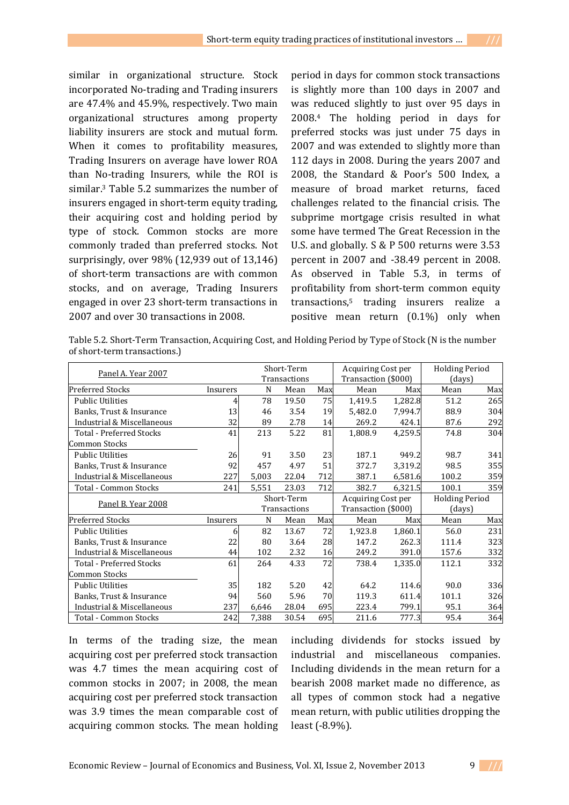similar in organizational structure. Stock incorporated No-trading and Trading insurers are 47.4% and 45.9%, respectively. Two main organizational structures among property liability insurers are stock and mutual form. When it comes to profitability measures, Trading Insurers on average have lower ROA than No-trading Insurers, while the ROI is similar.3 Table 5.2 summarizes the number of insurers engaged in short-term equity trading, their acquiring cost and holding period by type of stock. Common stocks are more commonly traded than preferred stocks. Not surprisingly, over 98% (12,939 out of 13,146) of short-term transactions are with common stocks, and on average, Trading Insurers engaged in over 23 short-term transactions in 2007 and over 30 transactions in 2008.

period in days for common stock transactions is slightly more than 100 days in 2007 and was reduced slightly to just over 95 days in 2008.4 The holding period in days for preferred stocks was just under 75 days in 2007 and was extended to slightly more than 112 days in 2008. During the years 2007 and 2008, the Standard & Poor's 500 Index, a measure of broad market returns, faced challenges related to the financial crisis. The subprime mortgage crisis resulted in what some have termed The Great Recession in the U.S. and globally. S & P 500 returns were 3.53 percent in 2007 and -38.49 percent in 2008. As observed in Table 5.3, in terms of profitability from short-term common equity transactions,5 trading insurers realize a positive mean return (0.1%) only when

Table 5.2. Short-Term Transaction, Acquiring Cost, and Holding Period by Type of Stock (N is the number of short-term transactions.)

|                                 |          | Short-Term   |       |     | Acquiring Cost per  |         | <b>Holding Period</b> |     |
|---------------------------------|----------|--------------|-------|-----|---------------------|---------|-----------------------|-----|
| Panel A. Year 2007              |          | Transactions |       |     | Transaction (\$000) |         | (days)                |     |
| <b>Preferred Stocks</b>         | Insurers | N            | Mean  | Max | Mean                | Max     | Mean                  | Max |
| <b>Public Utilities</b>         |          | 78           | 19.50 | 75  | 1,419.5             | 1,282.8 | 51.2                  | 265 |
| Banks, Trust & Insurance        | 13       | 46           | 3.54  | 19  | 5,482.0             | 7,994.7 | 88.9                  | 304 |
| Industrial & Miscellaneous      | 32       | 89           | 2.78  | 14  | 269.2               | 424.1   | 87.6                  | 292 |
| Total - Preferred Stocks        | 41       | 213          | 5.22  | 81  | 1,808.9             | 4,259.5 | 74.8                  | 304 |
| <b>Common Stocks</b>            |          |              |       |     |                     |         |                       |     |
| <b>Public Utilities</b>         | 26       | 91           | 3.50  | 23  | 187.1               | 949.2   | 98.7                  | 341 |
| Banks, Trust & Insurance        | 92       | 457          | 4.97  | 51  | 372.7               | 3,319.2 | 98.5                  | 355 |
| Industrial & Miscellaneous      | 227      | 5,003        | 22.04 | 712 | 387.1               | 6,581.6 | 100.2                 | 359 |
| Total - Common Stocks           | 241      | 5,551        | 23.03 | 712 | 382.7               | 6,321.5 | 100.1                 | 359 |
|                                 |          | Short-Term   |       |     | Acquiring Cost per  |         | <b>Holding Period</b> |     |
| Panel B. Year 2008              |          | Transactions |       |     | Transaction (\$000) |         | (days)                |     |
| <b>Preferred Stocks</b>         | Insurers | N            | Mean  | Max | Mean                | Max     | Mean                  | Max |
| <b>Public Utilities</b>         | 6        | 82           | 13.67 | 72  | 1,923.8             | 1,860.1 | 56.0                  | 231 |
| Banks, Trust & Insurance        | 22       | 80           | 3.64  | 28  | 147.2               | 262.3   | 111.4                 | 323 |
| Industrial & Miscellaneous      | 44       | 102          | 2.32  | 16  | 249.2               | 391.0   | 157.6                 | 332 |
| <b>Total - Preferred Stocks</b> | 61       | 264          | 4.33  | 72  | 738.4               | 1,335.0 | 112.1                 | 332 |
| <b>Common Stocks</b>            |          |              |       |     |                     |         |                       |     |
| <b>Public Utilities</b>         | 35       | 182          | 5.20  | 42  | 64.2                | 114.6   | 90.0                  | 336 |
| Banks, Trust & Insurance        | 94       | 560          | 5.96  | 70  | 119.3               | 611.4   | 101.1                 | 326 |
| Industrial & Miscellaneous      | 237      | 6,646        | 28.04 | 695 | 223.4               | 799.1   | 95.1                  | 364 |
| Total - Common Stocks           | 242      | 7,388        | 30.54 | 695 | 211.6               | 777.3   | 95.4                  | 364 |

In terms of the trading size, the mean acquiring cost per preferred stock transaction was 4.7 times the mean acquiring cost of common stocks in 2007; in 2008, the mean acquiring cost per preferred stock transaction was 3.9 times the mean comparable cost of acquiring common stocks. The mean holding

including dividends for stocks issued by industrial and miscellaneous companies. Including dividends in the mean return for a bearish 2008 market made no difference, as all types of common stock had a negative mean return, with public utilities dropping the least (-8.9%).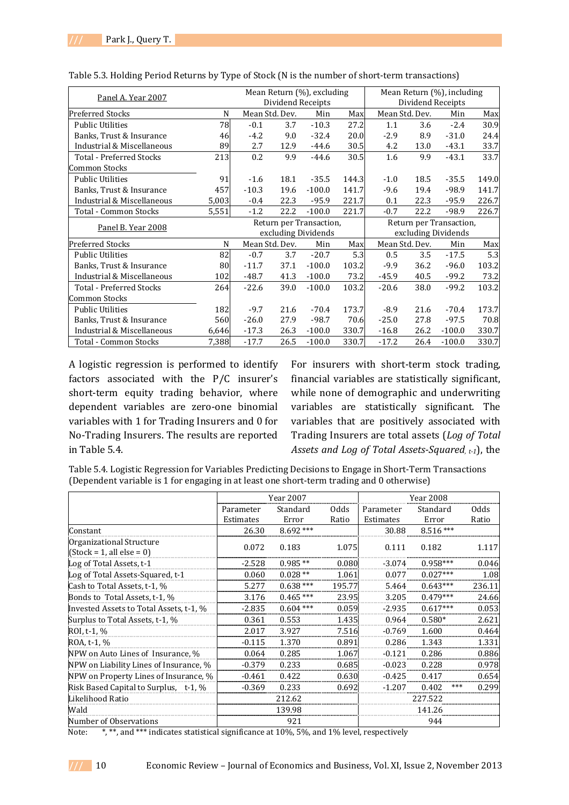| Panel A. Year 2007              |       | Mean Return (%), excluding<br>Dividend Receipts |      |            | Mean Return (%), including |                         |                     |          |       |
|---------------------------------|-------|-------------------------------------------------|------|------------|----------------------------|-------------------------|---------------------|----------|-------|
|                                 |       |                                                 |      |            |                            | Dividend Receipts       |                     |          |       |
| <b>Preferred Stocks</b>         | N     | Mean Std. Dev.<br>Min<br>Max                    |      |            | Mean Std. Dev.             |                         | Max                 |          |       |
| <b>Public Utilities</b>         | 78    | $-0.1$                                          | 3.7  | $-10.3$    | 27.2                       | 1.1                     | 3.6                 | $-2.4$   | 30.9  |
| Banks, Trust & Insurance        | 46    | $-4.2$                                          | 9.0  | $-32.4$    | 20.0                       | $-2.9$                  | 8.9                 | $-31.0$  | 24.4  |
| Industrial & Miscellaneous      | 89    | 2.7                                             | 12.9 | $-44.6$    | 30.5                       | 4.2                     | 13.0                | $-43.1$  | 33.7  |
| <b>Total - Preferred Stocks</b> | 213   | 0.2                                             | 9.9  | $-44.6$    | 30.5                       | 1.6                     | 9.9                 | $-43.1$  | 33.7  |
| <b>Common Stocks</b>            |       |                                                 |      |            |                            |                         |                     |          |       |
| <b>Public Utilities</b>         | 91    | $-1.6$                                          | 18.1 | $-35.5$    | 144.3                      | $-1.0$                  | 18.5                | $-35.5$  | 149.0 |
| Banks, Trust & Insurance        | 457   | $-10.3$                                         | 19.6 | $-100.0$   | 141.7                      | $-9.6$                  | 19.4                | $-98.9$  | 141.7 |
| Industrial & Miscellaneous      | 5,003 | $-0.4$                                          | 22.3 | $-95.9$    | 221.7                      | 0.1                     | 22.3                | $-95.9$  | 226.7 |
| Total - Common Stocks           | 5,551 | $-1.2$                                          | 22.2 | $-100.0$   | 221.7                      | $-0.7$                  | 22.2                | $-98.9$  | 226.7 |
|                                 |       | Return per Transaction,                         |      |            |                            | Return per Transaction, |                     |          |       |
| Panel B. Year 2008              |       | excluding Dividends                             |      |            |                            |                         | excluding Dividends |          |       |
| <b>Preferred Stocks</b>         | N     | Mean Std. Dev.                                  |      | Max<br>Min |                            | Mean Std. Dev.<br>Min   |                     | Max      |       |
| <b>Public Utilities</b>         | 82    | $-0.7$                                          | 3.7  | $-20.7$    | 5.3                        | 0.5                     | 3.5                 | $-17.5$  | 5.3   |
| Banks, Trust & Insurance        | 80    | $-11.7$                                         | 37.1 | $-100.0$   | 103.2                      | $-9.9$                  | 36.2                | $-96.0$  | 103.2 |
| Industrial & Miscellaneous      | 102   | $-48.7$                                         | 41.3 | $-100.0$   | 73.2                       | $-45.9$                 | 40.5                | $-99.2$  | 73.2  |
| Total - Preferred Stocks        | 264   | $-22.6$                                         | 39.0 | $-100.0$   | 103.2                      | $-20.6$                 | 38.0                | $-99.2$  | 103.2 |
| <b>Common Stocks</b>            |       |                                                 |      |            |                            |                         |                     |          |       |
| <b>Public Utilities</b>         | 182   | $-9.7$                                          | 21.6 | $-70.4$    | 173.7                      | $-8.9$                  | 21.6                | $-70.4$  | 173.7 |
| Banks, Trust & Insurance        | 560   | $-26.0$                                         | 27.9 | $-98.7$    | 70.6                       | $-25.0$                 | 27.8                | $-97.5$  | 70.8  |
| Industrial & Miscellaneous      | 6,646 | $-17.3$                                         | 26.3 | $-100.0$   | 330.7                      | $-16.8$                 | 26.2                | $-100.0$ | 330.7 |
| Total - Common Stocks           | 7,388 | $-17.7$                                         | 26.5 | $-100.0$   | 330.7                      | $-17.2$                 | 26.4                | $-100.0$ | 330.7 |

Table 5.3. Holding Period Returns by Type of Stock (N is the number of short-term transactions)

A logistic regression is performed to identify factors associated with the P/C insurer's short-term equity trading behavior, where dependent variables are zero-one binomial variables with 1 for Trading Insurers and 0 for No-Trading Insurers. The results are reported in Table 5.4.

For insurers with short-term stock trading, financial variables are statistically significant, while none of demographic and underwriting variables are statistically significant. The variables that are positively associated with Trading Insurers are total assets (*Log of Total Assets and Log of Total Assets-Squared, t-1*), the

Table 5.4. Logistic Regression for Variables Predicting Decisions to Engage in Short-Term Transactions (Dependent variable is 1 for engaging in at least one short-term trading and 0 otherwise)

|                                                         | Year 2007 |            |             | <b>Year 2008</b> |              |             |  |
|---------------------------------------------------------|-----------|------------|-------------|------------------|--------------|-------------|--|
|                                                         | Parameter | Standard   | <b>Odds</b> | Parameter        | Standard     | <b>Odds</b> |  |
|                                                         | Estimates | Error      | Ratio       | Estimates        | Error        | Ratio       |  |
| Constant                                                | 26.30     | $8.692***$ |             | 30.88            | $8.516***$   |             |  |
| Organizational Structure<br>$[Stock = 1, all else = 0]$ | 0.072     | 0.183      | 1.075       | 0.111            | 0.182        | 1.117       |  |
| Log of Total Assets, t-1                                | $-2.528$  | $0.985**$  | 0.080       | $-3.074$         | $0.958***$   | 0.046       |  |
| Log of Total Assets-Squared, t-1                        | 0.060     | $0.028**$  | 1.061       | 0.077            | $0.027***$   | 1.08        |  |
| Cash to Total Assets, t-1, %                            | 5.277     | $0.638***$ | 195.77      | 5.464            | $0.643***$   | 236.11      |  |
| Bonds to Total Assets, t-1, %                           | 3.176     | $0.465***$ | 23.95       | 3.205            | $0.479***$   | 24.66       |  |
| Invested Assets to Total Assets, t-1, %                 | $-2.835$  | $0.604***$ | 0.059       | $-2.935$         | $0.617***$   | 0.053       |  |
| Surplus to Total Assets, t-1, %                         | 0.361     | 0.553      | 1.435       | 0.964            | $0.580*$     | 2.621       |  |
| ROI, t-1, %                                             | 2.017     | 3.927      | 7.516       | $-0.769$         | 1.600        | 0.464       |  |
| ROA, t-1, %                                             | $-0.115$  | 1.370      | 0.891       | 0.286            | 1.343        | 1.331       |  |
| NPW on Auto Lines of Insurance, %                       | 0.064     | 0.285      | 1.067       | $-0.121$         | 0.286        | 0.886       |  |
| NPW on Liability Lines of Insurance, %                  | $-0.379$  | 0.233      | 0.685       | $-0.023$         | 0.228        | 0.978       |  |
| NPW on Property Lines of Insurance, %                   | $-0.461$  | 0.422      | 0.630       | $-0.425$         | 0.417        | 0.654       |  |
| Risk Based Capital to Surplus, t-1, \%                  | $-0.369$  | 0.233      | 0.692       | $-1.207$         | ***<br>0.402 | 0.299       |  |
| Likelihood Ratio                                        |           | 212.62     |             |                  | 227.522      |             |  |
| Wald                                                    |           | 139.98     |             |                  | 141.26       |             |  |
| Number of Observations                                  |           | 921        |             |                  | 944          |             |  |

Note:  $\ast$ ,  $\ast\ast$ , and  $\ast\ast\ast$  indicates statistical significance at 10%, 5%, and 1% level, respectively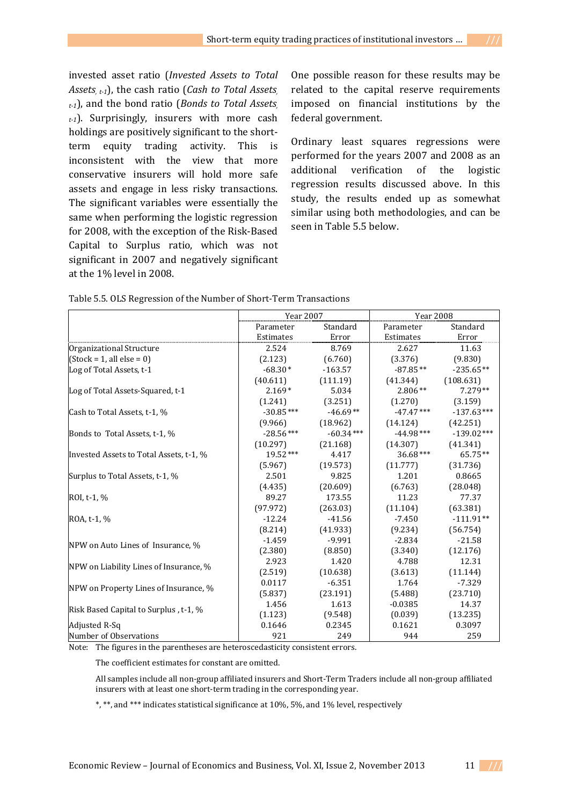invested asset ratio (*Invested Assets to Total Assets, t-1*), the cash ratio (*Cash to Total Assets, t-1*), and the bond ratio (*Bonds to Total Assets, t-1*). Surprisingly, insurers with more cash holdings are positively significant to the shortterm equity trading activity. This is inconsistent with the view that more conservative insurers will hold more safe assets and engage in less risky transactions. The significant variables were essentially the same when performing the logistic regression for 2008, with the exception of the Risk-Based Capital to Surplus ratio, which was not significant in 2007 and negatively significant at the 1% level in 2008.

One possible reason for these results may be related to the capital reserve requirements imposed on financial institutions by the federal government.

Ordinary least squares regressions were performed for the years 2007 and 2008 as an additional verification of the logistic regression results discussed above. In this study, the results ended up as somewhat similar using both methodologies, and can be seen in Table 5.5 below.

|                                         | <b>Year 2007</b> |             | <b>Year 2008</b> |              |  |
|-----------------------------------------|------------------|-------------|------------------|--------------|--|
|                                         | Parameter        | Standard    | Parameter        | Standard     |  |
|                                         | Estimates        | Error       | Estimates        | Error        |  |
| Organizational Structure                | 2.524            | 8.769       | 2.627            | 11.63        |  |
| $(Stock = 1, all else = 0)$             | (2.123)          | (6.760)     | (3.376)          | (9.830)      |  |
| Log of Total Assets, t-1                | $-68.30*$        | $-163.57$   | $-87.85**$       | $-235.65**$  |  |
|                                         | (40.611)         | (111.19)    | (41.344)         | (108.631)    |  |
| Log of Total Assets-Squared, t-1        | $2.169*$         | 5.034       | $2.806**$        | $7.279**$    |  |
|                                         | (1.241)          | (3.251)     | (1.270)          | (3.159)      |  |
| Cash to Total Assets, t-1, %            | $-30.85***$      | $-46.69**$  | $-47.47***$      | $-137.63***$ |  |
|                                         | (9.966)          | (18.962)    | (14.124)         | (42.251)     |  |
| Bonds to Total Assets, t-1, %           | $-28.56***$      | $-60.34***$ | $-44.98***$      | $-139.02***$ |  |
|                                         | (10.297)         | (21.168)    | (14.307)         | (41.341)     |  |
| Invested Assets to Total Assets, t-1, % | 19.52***         | 4.417       | $36.68***$       | 65.75**      |  |
|                                         | (5.967)          | (19.573)    | (11.777)         | (31.736)     |  |
| Surplus to Total Assets, t-1, %         | 2.501            | 9.825       | 1.201            | 0.8665       |  |
|                                         | (4.435)          | (20.609)    | (6.763)          | (28.048)     |  |
| ROI, t-1, %                             | 89.27            | 173.55      | 11.23            | 77.37        |  |
|                                         | (97.972)         | (263.03)    | (11.104)         | (63.381)     |  |
| ROA, t-1, %                             | $-12.24$         | $-41.56$    | $-7.450$         | $-111.91**$  |  |
|                                         | (8.214)          | (41.933)    | (9.234)          | (56.754)     |  |
|                                         | $-1.459$         | $-9.991$    | $-2.834$         | $-21.58$     |  |
| NPW on Auto Lines of Insurance, %       | (2.380)          | (8.850)     | (3.340)          | (12.176)     |  |
|                                         | 2.923            | 1.420       | 4.788            | 12.31        |  |
| NPW on Liability Lines of Insurance, %  | (2.519)          | (10.638)    | (3.613)          | (11.144)     |  |
|                                         | 0.0117           | $-6.351$    | 1.764            | $-7.329$     |  |
| NPW on Property Lines of Insurance, %   | (5.837)          | (23.191)    | (5.488)          | (23.710)     |  |
|                                         | 1.456            | 1.613       | $-0.0385$        | 14.37        |  |
| Risk Based Capital to Surplus, t-1, %   | (1.123)          | (9.548)     | (0.039)          | (13.235)     |  |
| Adjusted R-Sq                           | 0.1646           | 0.2345      | 0.1621           | 0.3097       |  |
| Number of Observations                  | 921              | 249         | 944              | 259          |  |

Table 5.5. OLS Regression of the Number of Short-Term Transactions

Note: The figures in the parentheses are heteroscedasticity consistent errors.

The coefficient estimates for constant are omitted.

 All samples include all non-group affiliated insurers and Short-Term Traders include all non-group affiliated insurers with at least one short-term trading in the corresponding year.

\*, \*\*, and \*\*\* indicates statistical significance at 10%, 5%, and 1% level, respectively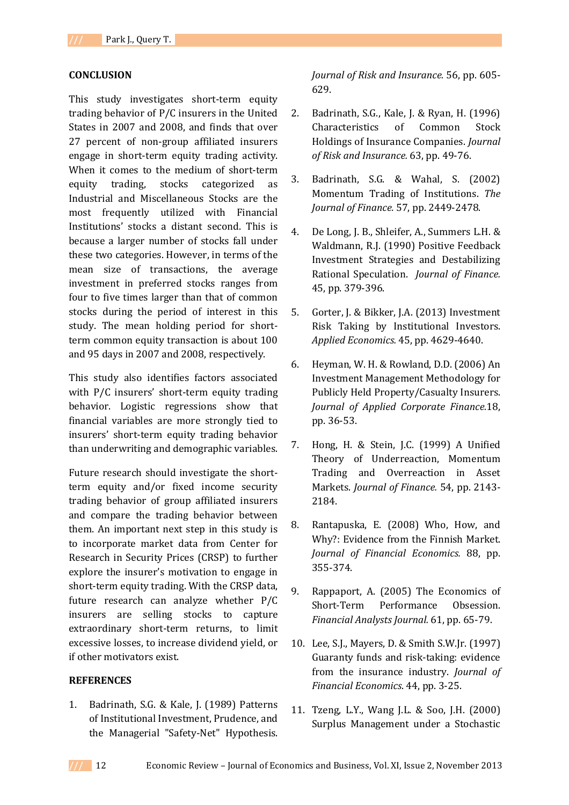#### **CONCLUSION**

This study investigates short-term equity trading behavior of P/C insurers in the United States in 2007 and 2008, and finds that over 27 percent of non-group affiliated insurers engage in short-term equity trading activity. When it comes to the medium of short-term equity trading, stocks categorized as Industrial and Miscellaneous Stocks are the most frequently utilized with Financial Institutions' stocks a distant second. This is because a larger number of stocks fall under these two categories. However, in terms of the mean size of transactions, the average investment in preferred stocks ranges from four to five times larger than that of common stocks during the period of interest in this study. The mean holding period for shortterm common equity transaction is about 100 and 95 days in 2007 and 2008, respectively.

This study also identifies factors associated with P/C insurers' short-term equity trading behavior. Logistic regressions show that financial variables are more strongly tied to insurers' short-term equity trading behavior than underwriting and demographic variables.

Future research should investigate the shortterm equity and/or fixed income security trading behavior of group affiliated insurers and compare the trading behavior between them. An important next step in this study is to incorporate market data from Center for Research in Security Prices (CRSP) to further explore the insurer's motivation to engage in short-term equity trading. With the CRSP data, future research can analyze whether P/C insurers are selling stocks to capture extraordinary short-term returns, to limit excessive losses, to increase dividend yield, or if other motivators exist.

#### **REFERENCES**

1. Badrinath, S.G. & Kale, J. (1989) Patterns of Institutional Investment, Prudence, and the Managerial "Safety-Net" Hypothesis.

*Journal of Risk and Insurance.* 56, pp. 605- 629.

- 2. Badrinath, S.G., Kale, J. & Ryan, H. (1996) Characteristics of Common Stock Holdings of Insurance Companies. *Journal of Risk and Insurance.* 63, pp. 49-76.
- 3. Badrinath, S.G. & Wahal, S. (2002) Momentum Trading of Institutions. *The Journal of Finance.* 57, pp. 2449-2478.
- 4. De Long, J. B., Shleifer, A., Summers L.H. & Waldmann, R.J. (1990) Positive Feedback Investment Strategies and Destabilizing Rational Speculation. *Journal of Finance.* 45, pp. 379-396.
- 5. Gorter, J. & Bikker, J.A. (2013) Investment Risk Taking by Institutional Investors. *Applied Economics.* 45, pp. 4629-4640.
- 6. Heyman, W. H. & Rowland, D.D. (2006) An Investment Management Methodology for Publicly Held Property/Casualty Insurers. *Journal of Applied Corporate Finance.*18, pp. 36-53.
- 7. Hong, H. & Stein, J.C. (1999) A Unified Theory of Underreaction, Momentum Trading and Overreaction in Asset Markets. *Journal of Finance.* 54, pp. 2143- 2184.
- 8. Rantapuska, E. (2008) Who, How, and Why?: Evidence from the Finnish Market. *Journal of Financial Economics.* 88, pp. 355-374.
- 9. Rappaport, A. (2005) The Economics of Short-Term Performance Obsession. *Financial Analysts Journal.* 61, pp. 65-79.
- 10. Lee, S.J., Mayers, D. & Smith S.W.Jr. (1997) Guaranty funds and risk-taking: evidence from the insurance industry. *Journal of Financial Economics*. 44, pp. 3-25.
- 11. Tzeng, L.Y., Wang J.L. & Soo, J.H. (2000) Surplus Management under a Stochastic